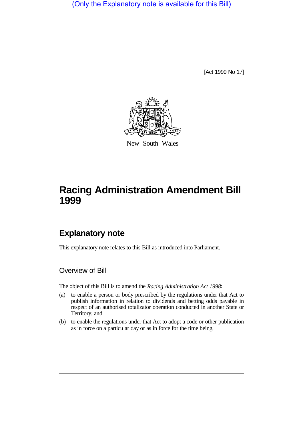(Only the Explanatory note is available for this Bill)

[Act 1999 No 17]



New South Wales

## **Racing Administration Amendment Bill 1999**

## **Explanatory note**

This explanatory note relates to this Bill as introduced into Parliament.

Overview of Bill

The object of this Bill is to amend the *Racing Administration Act 1998*:

- (a) to enable a person or body prescribed by the regulations under that Act to publish information in relation to dividends and betting odds payable in respect of an authorised totalizator operation conducted in another State or Territory, and
- (b) to enable the regulations under that Act to adopt a code or other publication as in force on a particular day or as in force for the time being.